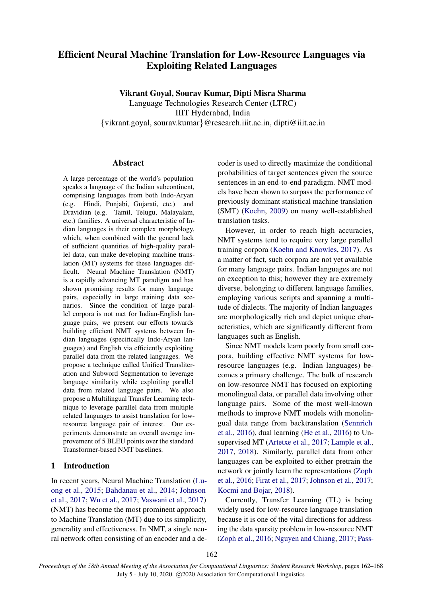# Efficient Neural Machine Translation for Low-Resource Languages via Exploiting Related Languages

Vikrant Goyal, Sourav Kumar, Dipti Misra Sharma

Language Technologies Research Center (LTRC) IIIT Hyderabad, India {vikrant.goyal, sourav.kumar}@research.iiit.ac.in, dipti@iiit.ac.in

#### Abstract

A large percentage of the world's population speaks a language of the Indian subcontinent, comprising languages from both Indo-Aryan (e.g. Hindi, Punjabi, Gujarati, etc.) and Dravidian (e.g. Tamil, Telugu, Malayalam, etc.) families. A universal characteristic of Indian languages is their complex morphology, which, when combined with the general lack of sufficient quantities of high-quality parallel data, can make developing machine translation (MT) systems for these languages difficult. Neural Machine Translation (NMT) is a rapidly advancing MT paradigm and has shown promising results for many language pairs, especially in large training data scenarios. Since the condition of large parallel corpora is not met for Indian-English language pairs, we present our efforts towards building efficient NMT systems between Indian languages (specifically Indo-Aryan languages) and English via efficiently exploiting parallel data from the related languages. We propose a technique called Unified Transliteration and Subword Segmentation to leverage language similarity while exploiting parallel data from related language pairs. We also propose a Multilingual Transfer Learning technique to leverage parallel data from multiple related languages to assist translation for lowresource language pair of interest. Our experiments demonstrate an overall average improvement of 5 BLEU points over the standard Transformer-based NMT baselines.

## 1 Introduction

In recent years, Neural Machine Translation [\(Lu](#page-6-0)[ong et al.,](#page-6-0) [2015;](#page-6-0) [Bahdanau et al.,](#page-5-0) [2014;](#page-5-0) [Johnson](#page-5-1) [et al.,](#page-5-1) [2017;](#page-5-1) [Wu et al.,](#page-6-1) [2017;](#page-6-1) [Vaswani et al.,](#page-6-2) [2017\)](#page-6-2) (NMT) has become the most prominent approach to Machine Translation (MT) due to its simplicity, generality and effectiveness. In NMT, a single neural network often consisting of an encoder and a de-

coder is used to directly maximize the conditional probabilities of target sentences given the source sentences in an end-to-end paradigm. NMT models have been shown to surpass the performance of previously dominant statistical machine translation (SMT) [\(Koehn,](#page-6-3) [2009\)](#page-6-3) on many well-established translation tasks.

However, in order to reach high accuracies, NMT systems tend to require very large parallel training corpora [\(Koehn and Knowles,](#page-6-4) [2017\)](#page-6-4). As a matter of fact, such corpora are not yet available for many language pairs. Indian languages are not an exception to this; however they are extremely diverse, belonging to different language families, employing various scripts and spanning a multitude of dialects. The majority of Indian languages are morphologically rich and depict unique characteristics, which are significantly different from languages such as English.

Since NMT models learn poorly from small corpora, building effective NMT systems for lowresource languages (e.g. Indian languages) becomes a primary challenge. The bulk of research on low-resource NMT has focused on exploiting monolingual data, or parallel data involving other language pairs. Some of the most well-known methods to improve NMT models with monolingual data range from backtranslation [\(Sennrich](#page-6-5) [et al.,](#page-6-5) [2016\)](#page-6-5), dual learning [\(He et al.,](#page-5-2) [2016\)](#page-5-2) to Unsupervised MT [\(Artetxe et al.,](#page-5-3) [2017;](#page-5-3) [Lample et al.,](#page-6-6) [2017,](#page-6-6) [2018\)](#page-6-7). Similarly, parallel data from other languages can be exploited to either pretrain the network or jointly learn the representations [\(Zoph](#page-6-8) [et al.,](#page-6-8) [2016;](#page-6-8) [Firat et al.,](#page-5-4) [2017;](#page-5-4) [Johnson et al.,](#page-5-1) [2017;](#page-5-1) [Kocmi and Bojar,](#page-6-9) [2018\)](#page-6-9).

Currently, Transfer Learning (TL) is being widely used for low-resource language translation because it is one of the vital directions for addressing the data sparsity problem in low-resource NMT [\(Zoph et al.,](#page-6-8) [2016;](#page-6-8) [Nguyen and Chiang,](#page-6-10) [2017;](#page-6-10) [Pass-](#page-6-11)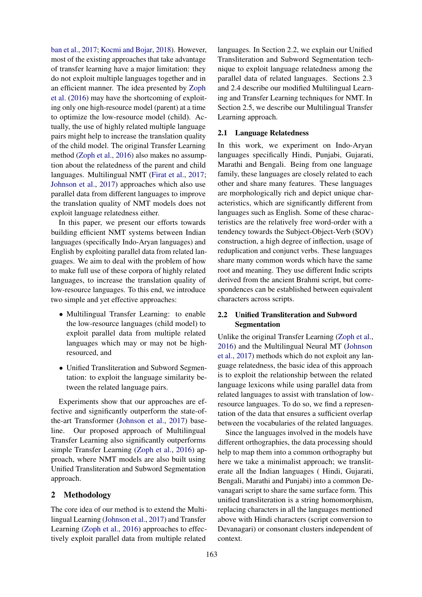[ban et al.,](#page-6-11) [2017;](#page-6-11) [Kocmi and Bojar,](#page-6-9) [2018\)](#page-6-9). However, most of the existing approaches that take advantage of transfer learning have a major limitation: they do not exploit multiple languages together and in an efficient manner. The idea presented by [Zoph](#page-6-8) [et al.](#page-6-8) [\(2016\)](#page-6-8) may have the shortcoming of exploiting only one high-resource model (parent) at a time to optimize the low-resource model (child). Actually, the use of highly related multiple language pairs might help to increase the translation quality of the child model. The original Transfer Learning method [\(Zoph et al.,](#page-6-8) [2016\)](#page-6-8) also makes no assumption about the relatedness of the parent and child languages. Multilingual NMT [\(Firat et al.,](#page-5-4) [2017;](#page-5-4) [Johnson et al.,](#page-5-1) [2017\)](#page-5-1) approaches which also use parallel data from different languages to improve the translation quality of NMT models does not exploit language relatedness either.

In this paper, we present our efforts towards building efficient NMT systems between Indian languages (specifically Indo-Aryan languages) and English by exploiting parallel data from related languages. We aim to deal with the problem of how to make full use of these corpora of highly related languages, to increase the translation quality of low-resource languages. To this end, we introduce two simple and yet effective approaches:

- Multilingual Transfer Learning: to enable the low-resource languages (child model) to exploit parallel data from multiple related languages which may or may not be highresourced, and
- Unified Transliteration and Subword Segmentation: to exploit the language similarity between the related language pairs.

Experiments show that our approaches are effective and significantly outperform the state-ofthe-art Transformer [\(Johnson et al.,](#page-5-1) [2017\)](#page-5-1) baseline. Our proposed approach of Multilingual Transfer Learning also significantly outperforms simple Transfer Learning [\(Zoph et al.,](#page-6-8) [2016\)](#page-6-8) approach, where NMT models are also built using Unified Transliteration and Subword Segmentation approach.

#### 2 Methodology

The core idea of our method is to extend the Multilingual Learning [\(Johnson et al.,](#page-5-1) [2017\)](#page-5-1) and Transfer Learning [\(Zoph et al.,](#page-6-8) [2016\)](#page-6-8) approaches to effectively exploit parallel data from multiple related

languages. In Section 2.2, we explain our Unified Transliteration and Subword Segmentation technique to exploit language relatedness among the parallel data of related languages. Sections 2.3 and 2.4 describe our modified Multilingual Learning and Transfer Learning techniques for NMT. In Section 2.5, we describe our Multilingual Transfer Learning approach.

#### 2.1 Language Relatedness

In this work, we experiment on Indo-Aryan languages specifically Hindi, Punjabi, Gujarati, Marathi and Bengali. Being from one language family, these languages are closely related to each other and share many features. These languages are morphologically rich and depict unique characteristics, which are significantly different from languages such as English. Some of these characteristics are the relatively free word-order with a tendency towards the Subject-Object-Verb (SOV) construction, a high degree of inflection, usage of reduplication and conjunct verbs. These languages share many common words which have the same root and meaning. They use different Indic scripts derived from the ancient Brahmi script, but correspondences can be established between equivalent characters across scripts.

# 2.2 Unified Transliteration and Subword Segmentation

Unlike the original Transfer Learning [\(Zoph et al.,](#page-6-8) [2016\)](#page-6-8) and the Multilingual Neural MT [\(Johnson](#page-5-1) [et al.,](#page-5-1) [2017\)](#page-5-1) methods which do not exploit any language relatedness, the basic idea of this approach is to exploit the relationship between the related language lexicons while using parallel data from related languages to assist with translation of lowresource languages. To do so, we find a representation of the data that ensures a sufficient overlap between the vocabularies of the related languages.

Since the languages involved in the models have different orthographies, the data processing should help to map them into a common orthography but here we take a minimalist approach; we transliterate all the Indian languages ( Hindi, Gujarati, Bengali, Marathi and Punjabi) into a common Devanagari script to share the same surface form. This unified transliteration is a string homomorphism, replacing characters in all the languages mentioned above with Hindi characters (script conversion to Devanagari) or consonant clusters independent of context.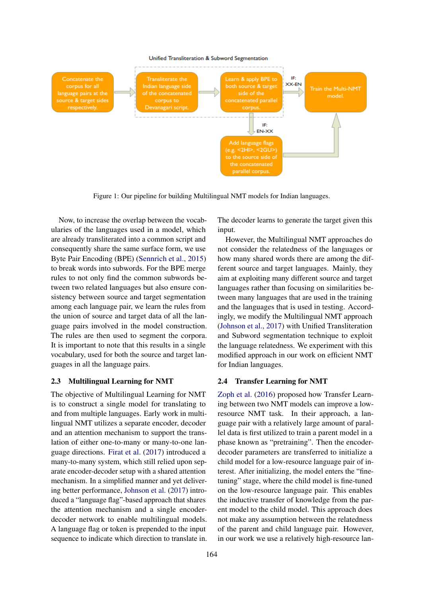

Figure 1: Our pipeline for building Multilingual NMT models for Indian languages.

Now, to increase the overlap between the vocabularies of the languages used in a model, which are already transliterated into a common script and consequently share the same surface form, we use Byte Pair Encoding (BPE) [\(Sennrich et al.,](#page-6-12) [2015\)](#page-6-12) to break words into subwords. For the BPE merge rules to not only find the common subwords between two related languages but also ensure consistency between source and target segmentation among each language pair, we learn the rules from the union of source and target data of all the language pairs involved in the model construction. The rules are then used to segment the corpora. It is important to note that this results in a single vocabulary, used for both the source and target languages in all the language pairs.

#### 2.3 Multilingual Learning for NMT

The objective of Multilingual Learning for NMT is to construct a single model for translating to and from multiple languages. Early work in multilingual NMT utilizes a separate encoder, decoder and an attention mechanism to support the translation of either one-to-many or many-to-one language directions. [Firat et al.](#page-5-4) [\(2017\)](#page-5-4) introduced a many-to-many system, which still relied upon separate encoder-decoder setup with a shared attention mechanism. In a simplified manner and yet delivering better performance, [Johnson et al.](#page-5-1) [\(2017\)](#page-5-1) introduced a "language flag"-based approach that shares the attention mechanism and a single encoderdecoder network to enable multilingual models. A language flag or token is prepended to the input sequence to indicate which direction to translate in.

The decoder learns to generate the target given this input.

However, the Multilingual NMT approaches do not consider the relatedness of the languages or how many shared words there are among the different source and target languages. Mainly, they aim at exploiting many different source and target languages rather than focusing on similarities between many languages that are used in the training and the languages that is used in testing. Accordingly, we modify the Multilingual NMT approach [\(Johnson et al.,](#page-5-1) [2017\)](#page-5-1) with Unified Transliteration and Subword segmentation technique to exploit the language relatedness. We experiment with this modified approach in our work on efficient NMT for Indian languages.

#### 2.4 Transfer Learning for NMT

[Zoph et al.](#page-6-8) [\(2016\)](#page-6-8) proposed how Transfer Learning between two NMT models can improve a lowresource NMT task. In their approach, a language pair with a relatively large amount of parallel data is first utilized to train a parent model in a phase known as "pretraining". Then the encoderdecoder parameters are transferred to initialize a child model for a low-resource language pair of interest. After initializing, the model enters the "finetuning" stage, where the child model is fine-tuned on the low-resource language pair. This enables the inductive transfer of knowledge from the parent model to the child model. This approach does not make any assumption between the relatedness of the parent and child language pair. However, in our work we use a relatively high-resource lan-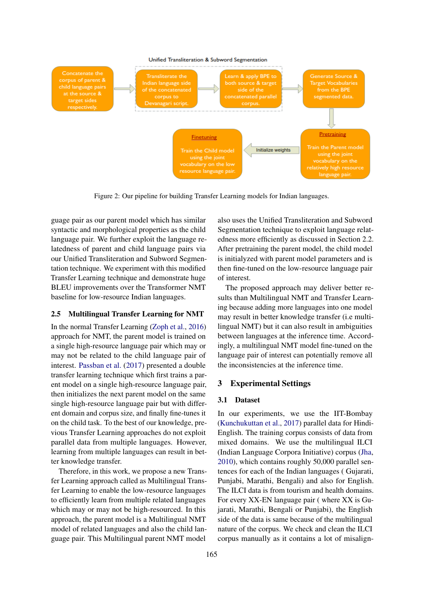

Figure 2: Our pipeline for building Transfer Learning models for Indian languages.

guage pair as our parent model which has similar syntactic and morphological properties as the child language pair. We further exploit the language relatedness of parent and child language pairs via our Unified Transliteration and Subword Segmentation technique. We experiment with this modified Transfer Learning technique and demonstrate huge BLEU improvements over the Transformer NMT baseline for low-resource Indian languages.

## 2.5 Multilingual Transfer Learning for NMT

In the normal Transfer Learning [\(Zoph et al.,](#page-6-8) [2016\)](#page-6-8) approach for NMT, the parent model is trained on a single high-resource language pair which may or may not be related to the child language pair of interest. [Passban et al.](#page-6-11) [\(2017\)](#page-6-11) presented a double transfer learning technique which first trains a parent model on a single high-resource language pair, then initializes the next parent model on the same single high-resource language pair but with different domain and corpus size, and finally fine-tunes it on the child task. To the best of our knowledge, previous Transfer Learning approaches do not exploit parallel data from multiple languages. However, learning from multiple languages can result in better knowledge transfer.

Therefore, in this work, we propose a new Transfer Learning approach called as Multilingual Transfer Learning to enable the low-resource languages to efficiently learn from multiple related languages which may or may not be high-resourced. In this approach, the parent model is a Multilingual NMT model of related languages and also the child language pair. This Multilingual parent NMT model

also uses the Unified Transliteration and Subword Segmentation technique to exploit language relatedness more efficiently as discussed in Section 2.2. After pretraining the parent model, the child model is initialyzed with parent model parameters and is then fine-tuned on the low-resource language pair of interest.

The proposed approach may deliver better results than Multilingual NMT and Transfer Learning because adding more languages into one model may result in better knowledge transfer (i.e multilingual NMT) but it can also result in ambiguities between languages at the inference time. Accordingly, a multilingual NMT model fine-tuned on the language pair of interest can potentially remove all the inconsistencies at the inference time.

#### 3 Experimental Settings

#### 3.1 Dataset

In our experiments, we use the IIT-Bombay [\(Kunchukuttan et al.,](#page-6-13) [2017\)](#page-6-13) parallel data for Hindi-English. The training corpus consists of data from mixed domains. We use the multilingual ILCI (Indian Language Corpora Initiative) corpus [\(Jha,](#page-5-5) [2010\)](#page-5-5), which contains roughly 50,000 parallel sentences for each of the Indian languages ( Gujarati, Punjabi, Marathi, Bengali) and also for English. The ILCI data is from tourism and health domains. For every XX-EN language pair ( where XX is Gujarati, Marathi, Bengali or Punjabi), the English side of the data is same because of the multilingual nature of the corpus. We check and clean the ILCI corpus manually as it contains a lot of misalign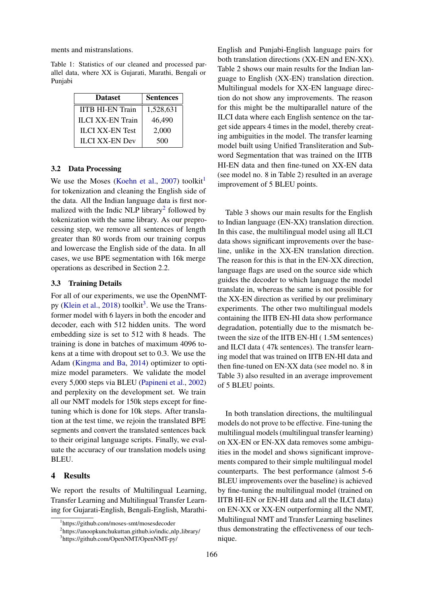ments and mistranslations.

Table 1: Statistics of our cleaned and processed parallel data, where XX is Gujarati, Marathi, Bengali or Punjabi

| <b>Dataset</b>          | <b>Sentences</b> |  |  |
|-------------------------|------------------|--|--|
| <b>IITB HI-EN Train</b> | 1,528,631        |  |  |
| <b>ILCI XX-EN Train</b> | 46,490           |  |  |
| <b>ILCI XX-EN Test</b>  | 2,000            |  |  |
| <b>ILCI XX-EN Dev</b>   | 500              |  |  |

#### 3.2 Data Processing

We use the Moses [\(Koehn et al.,](#page-6-14) [2007\)](#page-6-14) toolkit<sup>[1](#page-4-0)</sup> for tokenization and cleaning the English side of the data. All the Indian language data is first nor-malized with the Indic NLP library<sup>[2](#page-4-1)</sup> followed by tokenization with the same library. As our preprocessing step, we remove all sentences of length greater than 80 words from our training corpus and lowercase the English side of the data. In all cases, we use BPE segmentation with 16k merge operations as described in Section 2.2.

#### 3.3 Training Details

For all of our experiments, we use the OpenNMT-py [\(Klein et al.,](#page-5-6) [2018\)](#page-5-6) toolkit<sup>[3](#page-4-2)</sup>. We use the Transformer model with 6 layers in both the encoder and decoder, each with 512 hidden units. The word embedding size is set to 512 with 8 heads. The training is done in batches of maximum 4096 tokens at a time with dropout set to 0.3. We use the Adam [\(Kingma and Ba,](#page-5-7) [2014\)](#page-5-7) optimizer to optimize model parameters. We validate the model every 5,000 steps via BLEU [\(Papineni et al.,](#page-6-15) [2002\)](#page-6-15) and perplexity on the development set. We train all our NMT models for 150k steps except for finetuning which is done for 10k steps. After translation at the test time, we rejoin the translated BPE segments and convert the translated sentences back to their original language scripts. Finally, we evaluate the accuracy of our translation models using BLEU.

#### 4 Results

We report the results of Multilingual Learning, Transfer Learning and Multilingual Transfer Learning for Gujarati-English, Bengali-English, Marathi-

English and Punjabi-English language pairs for both translation directions (XX-EN and EN-XX). Table 2 shows our main results for the Indian language to English (XX-EN) translation direction. Multilingual models for XX-EN language direction do not show any improvements. The reason for this might be the multiparallel nature of the ILCI data where each English sentence on the target side appears 4 times in the model, thereby creating ambiguities in the model. The transfer learning model built using Unified Transliteration and Subword Segmentation that was trained on the IITB HI-EN data and then fine-tuned on XX-EN data (see model no. 8 in Table 2) resulted in an average improvement of 5 BLEU points.

Table 3 shows our main results for the English to Indian language (EN-XX) translation direction. In this case, the multilingual model using all ILCI data shows significant improvements over the baseline, unlike in the XX-EN translation direction. The reason for this is that in the EN-XX direction, language flags are used on the source side which guides the decoder to which language the model translate in, whereas the same is not possible for the XX-EN direction as verified by our preliminary experiments. The other two multilingual models containing the IITB EN-HI data show performance degradation, potentially due to the mismatch between the size of the IITB EN-HI ( 1.5M sentences) and ILCI data ( 47k sentences). The transfer learning model that was trained on IITB EN-HI data and then fine-tuned on EN-XX data (see model no. 8 in Table 3) also resulted in an average improvement of 5 BLEU points.

models do not prove to be effective. Fine-tuning the multilingual models (multilingual transfer learning) on XX-EN or EN-XX data removes some ambiguities in the model and shows significant improvements compared to their simple multilingual model counterparts. The best performance (almost 5-6 BLEU improvements over the baseline) is achieved by fine-tuning the multilingual model (trained on IITB HI-EN or EN-HI data and all the ILCI data) on EN-XX or XX-EN outperforming all the NMT, Multilingual NMT and Transfer Learning baselines thus demonstrating the effectiveness of our technique.

In both translation directions, the multilingual

<span id="page-4-0"></span><sup>1</sup> https://github.com/moses-smt/mosesdecoder

<span id="page-4-1"></span><sup>&</sup>lt;sup>2</sup>https://anoopkunchukuttan.github.io/indic\_nlp\_library/

<span id="page-4-2"></span><sup>3</sup> https://github.com/OpenNMT/OpenNMT-py/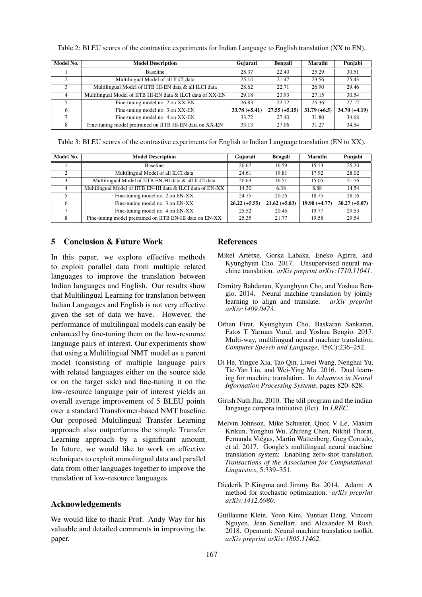| Model No. | <b>Model Description</b>                                   | Gujarati        | Bengali         | Marathi        | Punjabi         |
|-----------|------------------------------------------------------------|-----------------|-----------------|----------------|-----------------|
|           | Baseline                                                   | 28.37           | 22.40           | 25.29          | 30.51           |
| ◠         | Multilingual Model of all ILCI data                        | 25.14           | 21.47           | 23.56          | 25.43           |
|           | Multilingual Model of IITB HI-EN data & all ILCI data      | 28.62           | 22.71           | 26.90          | 29.46           |
|           | Multilingual Model of IITB HI-EN data & ILCI data of XX-EN | 29.18           | 23.93           | 27.15          | 30.54           |
|           | Fine-tuning model no. 2 on XX-EN                           | 26.83           | 22.72           | 25.36          | 27.12           |
| 6         | Fine-tuning model no. 3 on XX-EN                           | $33.78 (+5.41)$ | $27.55 (+5.15)$ | $31.79 (+6.5)$ | $34.70 (+4.19)$ |
|           | Fine-tuning model no. 4 on XX-EN                           | 33.72           | 27.40           | 31.80          | 34.68           |
| 8         | Fine-tuning model pretrained on IITB HI-EN data on XX-EN   | 33.13           | 27.06           | 31.27          | 34.54           |

Table 2: BLEU scores of the contrastive experiments for Indian Language to English translation (XX to EN).

Table 3: BLEU scores of the contrastive experiments for English to Indian Language translation (EN to XX).

| Model No. | <b>Model Description</b>                                   | Gujarati        | Bengali         | Marathi         | Punjabi         |
|-----------|------------------------------------------------------------|-----------------|-----------------|-----------------|-----------------|
|           | <b>Baseline</b>                                            | 20.67           | 16.59           | 15.13           | 25.20           |
| ◠         | Multilingual Model of all ILCI data                        | 24.61           | 19.81           | 17.92           | 28.02           |
|           | Multilingual Model of IITB EN-HI data & all ILCI data      | 20.63           | 16.51           | 15.05           | 21.76           |
| 4         | Multilingual Model of IITB EN-HI data & ILCI data of EN-XX | 14.30           | 6.38            | 8.88            | 14.54           |
|           | Fine-tuning model no. 2 on EN-XX                           | 24.75           | 20.25           | 18.75           | 28.16           |
| 6         | Fine-tuning model no. 3 on EN-XX                           | $26.22 (+5.55)$ | $21.62 (+5.03)$ | $19.90 (+4.77)$ | $30.27 (+5.07)$ |
|           | Fine-tuning model no. 4 on EN-XX                           | 25.52           | 20.45           | 19.77           | 29.53           |
| 8         | Fine-tuning model pretrained on IITB EN-HI data on EN-XX   | 25.35           | 21.77           | 19.58           | 29.54           |

## 5 Conclusion & Future Work

In this paper, we explore effective methods to exploit parallel data from multiple related languages to improve the translation between Indian languages and English. Our results show that Multilingual Learning for translation between Indian Languages and English is not very effective given the set of data we have. However, the performance of multilingual models can easily be enhanced by fine-tuning them on the low-resource language pairs of interest. Our experiments show that using a Multilingual NMT model as a parent model (consisting of multiple language pairs with related languages either on the source side or on the target side) and fine-tuning it on the low-resource language pair of interest yields an overall average improvement of 5 BLEU points over a standard Transformer-based NMT baseline. Our proposed Multilingual Transfer Learning approach also outperforms the simple Transfer Learning approach by a significant amount. In future, we would like to work on effective techniques to exploit monolingual data and parallel data from other languages together to improve the translation of low-resource languages.

# Acknowledgements

We would like to thank Prof. Andy Way for his valuable and detailed comments in improving the paper.

## References

- <span id="page-5-3"></span>Mikel Artetxe, Gorka Labaka, Eneko Agirre, and Kyunghyun Cho. 2017. Unsupervised neural machine translation. *arXiv preprint arXiv:1710.11041*.
- <span id="page-5-0"></span>Dzmitry Bahdanau, Kyunghyun Cho, and Yoshua Bengio. 2014. Neural machine translation by jointly learning to align and translate. *arXiv preprint arXiv:1409.0473*.
- <span id="page-5-4"></span>Orhan Firat, Kyunghyun Cho, Baskaran Sankaran, Fatos T Yarman Vural, and Yoshua Bengio. 2017. Multi-way, multilingual neural machine translation. *Computer Speech and Language*, 45(C):236–252.
- <span id="page-5-2"></span>Di He, Yingce Xia, Tao Qin, Liwei Wang, Nenghai Yu, Tie-Yan Liu, and Wei-Ying Ma. 2016. Dual learning for machine translation. In *Advances in Neural Information Processing Systems*, pages 820–828.
- <span id="page-5-5"></span>Girish Nath Jha. 2010. The tdil program and the indian langauge corpora intitiative (ilci). In *LREC*.
- <span id="page-5-1"></span>Melvin Johnson, Mike Schuster, Quoc V Le, Maxim Krikun, Yonghui Wu, Zhifeng Chen, Nikhil Thorat, Fernanda Viegas, Martin Wattenberg, Greg Corrado, ´ et al. 2017. Google's multilingual neural machine translation system: Enabling zero-shot translation. *Transactions of the Association for Computational Linguistics*, 5:339–351.
- <span id="page-5-7"></span>Diederik P Kingma and Jimmy Ba. 2014. Adam: A method for stochastic optimization. *arXiv preprint arXiv:1412.6980*.
- <span id="page-5-6"></span>Guillaume Klein, Yoon Kim, Yuntian Deng, Vincent Nguyen, Jean Senellart, and Alexander M Rush. 2018. Opennmt: Neural machine translation toolkit. *arXiv preprint arXiv:1805.11462*.